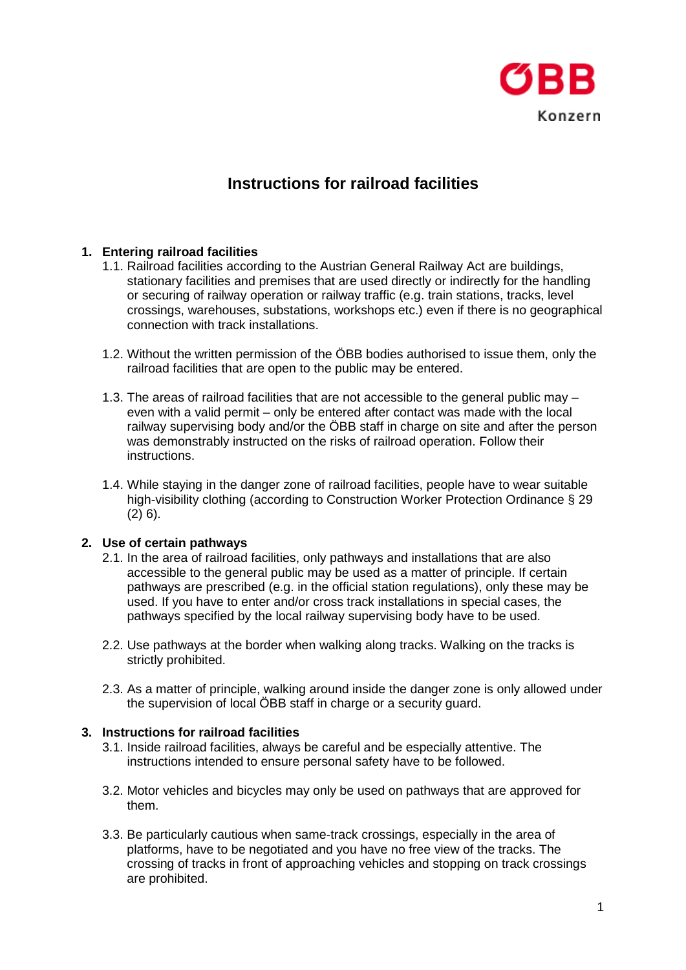

# **Instructions for railroad facilities**

### **1. Entering railroad facilities**

- 1.1. Railroad facilities according to the Austrian General Railway Act are buildings, stationary facilities and premises that are used directly or indirectly for the handling or securing of railway operation or railway traffic (e.g. train stations, tracks, level crossings, warehouses, substations, workshops etc.) even if there is no geographical connection with track installations.
- 1.2. Without the written permission of the ÖBB bodies authorised to issue them, only the railroad facilities that are open to the public may be entered.
- 1.3. The areas of railroad facilities that are not accessible to the general public may even with a valid permit – only be entered after contact was made with the local railway supervising body and/or the ÖBB staff in charge on site and after the person was demonstrably instructed on the risks of railroad operation. Follow their instructions.
- 1.4. While staying in the danger zone of railroad facilities, people have to wear suitable high-visibility clothing (according to Construction Worker Protection Ordinance § 29  $(2)$  6).

### **2. Use of certain pathways**

- 2.1. In the area of railroad facilities, only pathways and installations that are also accessible to the general public may be used as a matter of principle. If certain pathways are prescribed (e.g. in the official station regulations), only these may be used. If you have to enter and/or cross track installations in special cases, the pathways specified by the local railway supervising body have to be used.
- 2.2. Use pathways at the border when walking along tracks. Walking on the tracks is strictly prohibited.
- 2.3. As a matter of principle, walking around inside the danger zone is only allowed under the supervision of local ÖBB staff in charge or a security guard.

### **3. Instructions for railroad facilities**

- 3.1. Inside railroad facilities, always be careful and be especially attentive. The instructions intended to ensure personal safety have to be followed.
- 3.2. Motor vehicles and bicycles may only be used on pathways that are approved for them.
- 3.3. Be particularly cautious when same-track crossings, especially in the area of platforms, have to be negotiated and you have no free view of the tracks. The crossing of tracks in front of approaching vehicles and stopping on track crossings are prohibited.